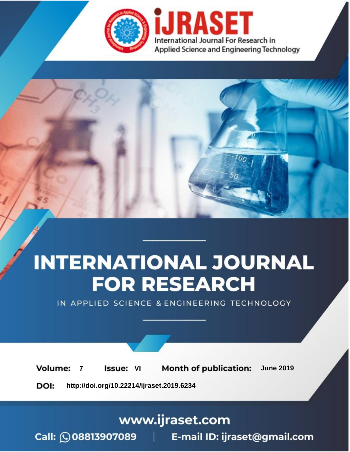

# **INTERNATIONAL JOURNAL FOR RESEARCH**

IN APPLIED SCIENCE & ENGINEERING TECHNOLOGY

**7 Issue:** VI **Month of publication:** June 2019 **Volume:** 

**http://doi.org/10.22214/ijraset.2019.6234**DOI:

### www.ijraset.com

Call: 008813907089 | E-mail ID: ijraset@gmail.com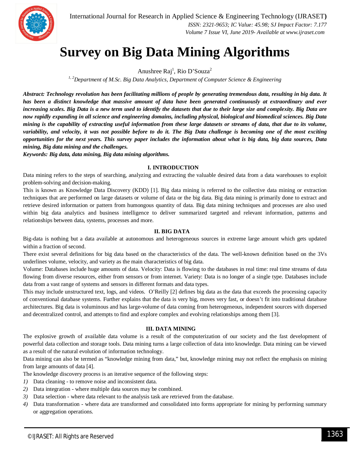

International Journal for Research in Applied Science & Engineering Technology (IJRASET**)**  *ISSN: 2321-9653; IC Value: 45.98; SJ Impact Factor: 7.177 Volume 7 Issue VI, June 2019- Available at www.ijraset.com*

## **Survey on Big Data Mining Algorithms**

Anushree Raj<sup>1</sup>, Rio D'Souza<sup>2</sup>

*1, 2Department of M.Sc. Big Data Analytics, Department of Computer Science & Engineering*

*Abstract: Technology revolution has been facilitating millions of people by generating tremendous data, resulting in big data. It has been a distinct knowledge that massive amount of data have been generated continuously at extraordinary and ever increasing scales. Big Data is a new term used to identify the datasets that due to their large size and complexity. Big Data are now rapidly expanding in all science and engineering domains, including physical, biological and biomedical sciences. Big Data mining is the capability of extracting useful information from these large datasets or streams of data, that due to its volume, variability, and velocity, it was not possible before to do it. The Big Data challenge is becoming one of the most exciting opportunities for the next years. This survey paper includes the information about what is big data, big data sources, Data mining, Big data mining and the challenges.*

*Keywords: Big data, data mining, Big data mining algorithms.*

#### **I. INTRODUCTION**

Data mining refers to the steps of searching, analyzing and extracting the valuable desired data from a data warehouses to exploit problem-solving and decision-making.

This is known as Knowledge Data Discovery (KDD) [1]. Big data mining is referred to the collective data mining or extraction techniques that are performed on large datasets or volume of data or the big data. Big data mining is primarily done to extract and retrieve desired information or pattern from humongous quantity of data. Big data mining techniques and processes are also used within big data analytics and business intelligence to deliver summarized targeted and relevant information, patterns and relationships between data, systems, processes and more.

#### **II. BIG DATA**

Big-data is nothing but a data available at autonomous and heterogeneous sources in extreme large amount which gets updated within a fraction of second.

There exist several definitions for big data based on the characteristics of the data. The well-known definition based on the 3Vs underlines volume, velocity, and variety as the main characteristics of big data.

Volume: Databases include huge amounts of data. Velocity: Data is flowing to the databases in real time: real time streams of data flowing from diverse resources, either from sensors or from internet. Variety: Data is no longer of a single type. Databases include data from a vast range of systems and sensors in different formats and data types.

This may include unstructured text, logs, and videos. O'Reilly [2] defines big data as the data that exceeds the processing capacity of conventional database systems. Further explains that the data is very big, moves very fast, or doesn't fit into traditional database architectures. Big data is voluminous and has large-volume of data coming from heterogeneous, independent sources with dispersed and decentralized control, and attempts to find and explore complex and evolving relationships among them [3].

#### **III. DATA MINING**

The explosive growth of available data volume is a result of the computerization of our society and the fast development of powerful data collection and storage tools. Data mining turns a large collection of data into knowledge. Data mining can be viewed as a result of the natural evolution of information technology.

Data mining can also be termed as "knowledge mining from data," but, knowledge mining may not reflect the emphasis on mining from large amounts of data [4].

The knowledge discovery process is an iterative sequence of the following steps:

- *1)* Data cleaning to remove noise and inconsistent data.
- *2)* Data integration where multiple data sources may be combined.
- *3)* Data selection where data relevant to the analysis task are retrieved from the database.
- *4)* Data transformation where data are transformed and consolidated into forms appropriate for mining by performing summary or aggregation operations.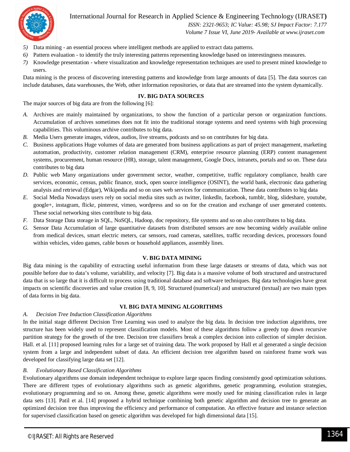

International Journal for Research in Applied Science & Engineering Technology (IJRASET**)**

 *ISSN: 2321-9653; IC Value: 45.98; SJ Impact Factor: 7.177*

 *Volume 7 Issue VI, June 2019- Available at www.ijraset.com*

- *5)* Data mining an essential process where intelligent methods are applied to extract data patterns.
- *6)* Pattern evaluation to identify the truly interesting patterns representing knowledge based on interestingness measures.
- *7)* Knowledge presentation where visualization and knowledge representation techniques are used to present mined knowledge to users.

Data mining is the process of discovering interesting patterns and knowledge from large amounts of data [5]. The data sources can include databases, data warehouses, the Web, other information repositories, or data that are streamed into the system dynamically.

#### **IV. BIG DATA SOURCES**

The major sources of big data are from the following [6]:

- *A.* Archives are mainly maintained by organizations, to show the function of a particular person or organization functions. Accumulation of archives sometimes does not fit into the traditional storage systems and need systems with high processing capabilities. This voluminous archive contributes to big data.
- *B.* Media Users generate images, videos, audios, live streams, podcasts and so on contributes for big data.
- *C.* Business applications Huge volumes of data are generated from business applications as part of project management, marketing automation, productivity, customer relation management (CRM), enterprise resource planning (ERP) content management systems, procurement, human resource (HR), storage, talent management, Google Docs, intranets, portals and so on. These data contributes to big data
- *D.* Public web Many organizations under government sector, weather, competitive, traffic regulatory compliance, health care services, economic, census, public finance, stock, open source intelligence (OSINT), the world bank, electronic data gathering analysis and retrieval (Edgar), Wikipedia and so on uses web services for communication. These data contributes to big data
- *E.* Social Media Nowadays users rely on social media sites such as twitter, linkedln, facebook, tumblr, blog, slideshare, youtube, google+, instagram, flickr, pinterest, vimeo, wordpress and so on for the creation and exchange of user generated contents. These social networking sites contribute to big data.
- *F.* Data Storage Data storage in SQL, NoSQL, Hadoop, doc repository, file systems and so on also contributes to big data.
- *G.* Sensor Data Accumulation of large quantitative datasets from distributed sensors are now becoming widely available online from medical devices, smart electric meters, car sensors, road cameras, satellites, traffic recording devices, processors found within vehicles, video games, cable boxes or household appliances, assembly lines.

#### **V. BIG DATA MINING**

Big data mining is the capability of extracting useful information from these large datasets or streams of data, which was not possible before due to data's volume, variability, and velocity [7]. Big data is a massive volume of both structured and unstructured data that is so large that it is difficult to process using traditional database and software techniques. Big data technologies have great impacts on scientific discoveries and value creation [8, 9, 10]. Structured (numerical) and unstructured (textual) are two main types of data forms in big data.

#### **VI. BIG DATA MINING ALGORITHMS**

#### *A. Decision Tree Induction Classification Algorithms*

In the initial stage different Decision Tree Learning was used to analyze the big data. In decision tree induction algorithms, tree structure has been widely used to represent classification models. Most of these algorithms follow a greedy top down recursive partition strategy for the growth of the tree. Decision tree classifiers break a complex decision into collection of simpler decision. Hall. et al. [11] proposed learning rules for a large set of training data. The work proposed by Hall et al generated a single decision system from a large and independent subset of data. An efficient decision tree algorithm based on rainforest frame work was developed for classifying large data set [12].

#### *B. Evolutionary Based Classification Algorithms*

Evolutionary algorithms use domain independent technique to explore large spaces finding consistently good optimization solutions. There are different types of evolutionary algorithms such as genetic algorithms, genetic programming, evolution strategies, evolutionary programming and so on. Among these, genetic algorithms were mostly used for mining classification rules in large data sets [13]. Patil et al. [14] proposed a hybrid technique combining both genetic algorithm and decision tree to generate an optimized decision tree thus improving the efficiency and performance of computation. An effective feature and instance selection for supervised classification based on genetic algorithm was developed for high dimensional data [15].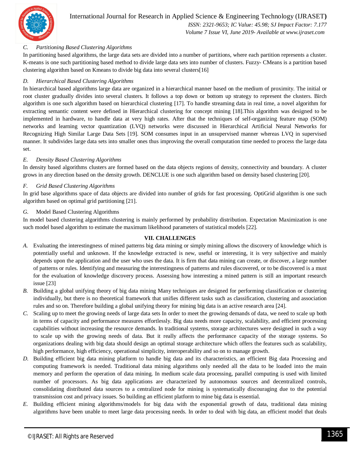

International Journal for Research in Applied Science & Engineering Technology (IJRASET**)**  *ISSN: 2321-9653; IC Value: 45.98; SJ Impact Factor: 7.177*

 *Volume 7 Issue VI, June 2019- Available at www.ijraset.com*

#### *C. Partitioning Based Clustering Algorithms*

In partitioning based algorithms, the large data sets are divided into a number of partitions, where each partition represents a cluster. K-means is one such partitioning based method to divide large data sets into number of clusters. Fuzzy- CMeans is a partition based clustering algorithm based on Kmeans to divide big data into several clusters[16]

#### *D. Hierarchical Based Clustering Algorithms*

In hierarchical based algorithms large data are organized in a hierarchical manner based on the medium of proximity. The initial or root cluster gradually divides into several clusters. It follows a top down or bottom up strategy to represent the clusters. Birch algorithm is one such algorithm based on hierarchical clustering [17]. To handle streaming data in real time, a novel algorithm for extracting semantic content were defined in Hierarchical clustering for concept mining [18].This algorithm was designed to be implemented in hardware, to handle data at very high rates. After that the techniques of self-organizing feature map (SOM) networks and learning vector quantization (LVQ) networks were discussed in Hierarchical Artificial Neural Networks for Recognizing High Similar Large Data Sets [19]. SOM consumes input in an unsupervised manner whereas LVQ in supervised manner. It subdivides large data sets into smaller ones thus improving the overall computation time needed to process the large data set.

#### *E. Density Based Clustering Algorithms*

In density based algorithms clusters are formed based on the data objects regions of density, connectivity and boundary. A cluster grows in any direction based on the density growth. DENCLUE is one such algorithm based on density based clustering [20].

#### *F. Grid Based Clustering Algorithms*

In grid base algorithms space of data objects are divided into number of grids for fast processing. OptiGrid algorithm is one such algorithm based on optimal grid partitioning [21].

#### *G.* Model Based Clustering Algorithms

In model based clustering algorithms clustering is mainly performed by probability distribution. Expectation Maximization is one such model based algorithm to estimate the maximum likelihood parameters of statistical models [22].

#### **VII. CHALLENGES**

- *A.* Evaluating the interestingness of mined patterns big data mining or simply mining allows the discovery of knowledge which is potentially useful and unknown. If the knowledge extracted is new, useful or interesting, it is very subjective and mainly depends upon the application and the user who uses the data. It is firm that data mining can create, or discover, a large number of patterns or rules. Identifying and measuring the interestingness of patterns and rules discovered, or to be discovered is a must for the evaluation of knowledge discovery process. Assessing how interesting a mined pattern is still an important research issue [23]
- *B.* Building a global unifying theory of big data mining Many techniques are designed for performing classification or clustering individually, but there is no theoretical framework that unifies different tasks such as classification, clustering and association rules and so on. Therefore building a global unifying theory for mining big data is an active research area [24].
- *C.* Scaling up to meet the growing needs of large data sets In order to meet the growing demands of data, we need to scale up both in terms of capacity and performance measures effortlessly. Big data needs more capacity, scalability, and efficient processing capabilities without increasing the resource demands. In traditional systems, storage architectures were designed in such a way to scale up with the growing needs of data. But it really affects the performance capacity of the storage systems. So organizations dealing with big data should design an optimal storage architecture which offers the features such as scalability, high performance, high efficiency, operational simplicity, interoperability and so on to manage growth.
- *D.* Building efficient big data mining platform to handle big data and its characteristics, an efficient Big data Processing and computing framework is needed. Traditional data mining algorithms only needed all the data to be loaded into the main memory and perform the operation of data mining. In medium scale data processing, parallel computing is used with limited number of processors. As big data applications are characterized by autonomous sources and decentralized controls, consolidating distributed data sources to a centralized node for mining is systematically discouraging due to the potential transmission cost and privacy issues. So building an efficient platform to mine big data is essential.
- *E.* Building efficient mining algorithms/models for big data with the exponential growth of data, traditional data mining algorithms have been unable to meet large data processing needs. In order to deal with big data, an efficient model that deals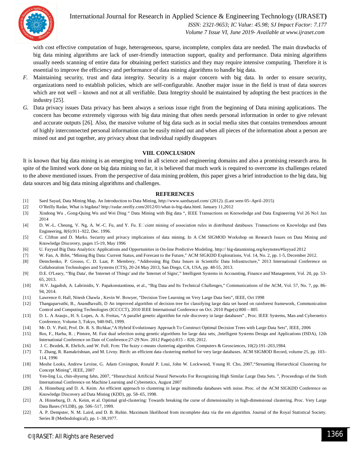

### International Journal for Research in Applied Science & Engineering Technology (IJRASET**)**

 *ISSN: 2321-9653; IC Value: 45.98; SJ Impact Factor: 7.177 Volume 7 Issue VI, June 2019- Available at www.ijraset.com*

with cost effective computation of huge, heterogeneous, sparse, incomplete, complex data are needed. The main drawbacks of big data mining algorithms are lack of user-friendly interaction support, quality and performance. Data mining algorithms usually needs scanning of entire data for obtaining perfect statistics and they may require intensive computing. Therefore it is essential to improve the efficiency and performance of data mining algorithms to handle big data.

- *F.* Maintaining security, trust and data integrity. Security is a major concern with big data. In order to ensure security, organizations need to establish policies, which are self-configurable. Another major issue in the field is trust of data sources which are not well – known and not at all verifiable. Data Integrity should be maintained by adopting the best practices in the industry [25].
- *G.* Data privacy issues Data privacy has been always a serious issue right from the beginning of Data mining applications. The concern has become extremely vigorous with big data mining that often needs personal information in order to give relevant and accurate outputs [26]. Also, the massive volume of big data such as in social media sites that contains tremendous amount of highly interconnected personal information can be easily mined out and when all pieces of the information about a person are mined out and put together, any privacy about that individual rapidly disappears

#### **VIII. CONCLUSION**

It is known that big data mining is an emerging trend in all science and engineering domains and also a promising research area. In spite of the limited work done on big data mining so far, it is believed that much work is required to overcome its challenges related to the above mentioned issues. From the perspective of data mining problem, this paper gives a brief introduction to the big data, big data sources and big data mining algorithms and challenges.

#### **REFERENCES**

- [1] Saed Sayad, Data Mining Map, An Introduction to Data Mining, http://www.saedsayad.com/ (2012). (Last seen 05–April–2015)
- [2] O'Reilly Radar, What is bigdata? http://radar.oreilly.com/2012/01/what-is-big-data.html. January 11,2012
- [3] Xindong Wu , Gong-Quing Wu and Wei Ding " Data Mining with Big data ", IEEE Transactions on Knoweledge and Data Engineering Vol 26 No1 Jan 2014
- [4] D. W.-L. Cheung, V. Ng, A. W.-C. Fu, and Y. Fu. Encient mining of association rules in distributed databases. Transactions on Knowledge and Data Engineering, 8(6):911–922, Dec. 1996.
- [5] C. Clifton and D. Marks. Security and privacy implications of data mining. In A CM SIGMOD Workshop on Research Issues on Data Mining and Knowledge Discovery, pages 15-19, May 1996
- [6] U. Fayyad Big Data Analytics: Applications and Opportunities in On-line Predictive Modeling. http:// big-datamining.org/keynotes/#fayyad 2012
- [7] W. Fan, A. Bifet, "Mining Big Data: Current Status, and Forecast to the Future," ACM SIGKDD Explorations, Vol. 14, No. 2, pp. 1-5, December 2012.
- [8] Demchenko, P. Grosso, C. D. Laat, P. Membrey, "Addressing Big Data Issues in Scientific Data Infrastructure," 2013 International Conference on Collaboration Technologies and Systems (CTS), 20-24 May 2013, San Diego, CA, USA, pp. 48-55, 2013.
- [9] D.E. O'Leary, "'Big Data', the 'Internet of Things' and the 'Internet of Signs'," Intelligent Systems in Accounting, Finance and Management, Vol. 20, pp. 53- 65, 2013.
- [10] H.V. Jagadish, A. Labrinidis, Y. Papakonstantinou, et al., "Big Data and Its Technical Challenges," Communications of the ACM, Vol. 57, No. 7, pp. 86- 94, 2014.
- [11] Lawrence 0. Hall, Nitesh Chawla , Kevin W. Bowyer, "Decision Tree Learning on Very Large Data Sets", IEEE, Oct 1998
- [12] Thangaparvathi, B., Anandhavalli, D An improved algorithm of decision tree for classifying large data set based on rainforest framework, Communication Control and Computing Technologies (ICCCCT), 2010 IEEE International Conference on Oct. 2010 Page(s):800 – 805
- [13] D. L. A Araujo., H. S. Lopes, A. A. Freitas, "A parallel genetic algorithm for rule discovery in large databases" , Proc. IEEE Systems, Man and Cybernetics Conference, Volume 3, Tokyo, 940-945, 1999.
- [14] Mr. D. V. Patil, Prof. Dr. R. S. Bichkar,"A Hybrid Evolutionary Approach To Construct Optimal Decision Trees with Large Data Sets", IEEE, 2006
- [15] Ros, F., Harba, R. ; Pintore, M. Fast dual selection using genetic algorithms for large data sets, ,Intelligent Systems Design and Applications (ISDA), 12th International Conference on Date of Conference:27-29 Nov. 2012 Page(s):815 – 820, 2012.
- [16] J. C. Bezdek, R. Ehrlich, and W. Full. Fcm: The fuzzy c-means clustering algorithm. Computers & Geosciences, 10(2):191–203,1984.
- [17] T. Zhang, R. Ramakrishnan, and M. Livny. Birch: an efficient data clustering method for very large databases. ACM SIGMOD Record, volume 25, pp. 103– 114, 1996
- [18] Moshe Looks, Andrew Levine, G. Adam Covington, Ronald P. Loui, John W. Lockwood, Young H. Cho, 2007,"Streaming Hierarchical Clustering for Concept Mining", IEEE, 2007
- [19] Yen-ling Lu, chin-shyurng fahn, 2007, "Hierarchical Artificial Neural Networks For Recognizing High Similar Large Data Sets. ", Proceedings of the Sixth International Conference on Machine Learning and Cybernetics, August 2007
- [20] A. Hinneburg and D. A. Keim. An efficient approach to clustering in large multimedia databases with noise. Proc. of the ACM SIGKDD Conference on Knowledge Discovery ad Data Mining (KDD), pp. 58–65, 1998.
- [21] A. Hinneburg, D. A. Keim, et al. Optimal grid-clustering: Towards breaking the curse of dimensionality in high-dimensional clustering. Proc. Very Large Data Bases (VLDB), pp. 506–517, 1999.
- [22] A. P. Dempster, N. M. Laird, and D. B. Rubin. Maximum likelihood from incomplete data via the em algorithm. Journal of the Royal Statistical Society. Series B (Methodological), pp. 1–38,1977.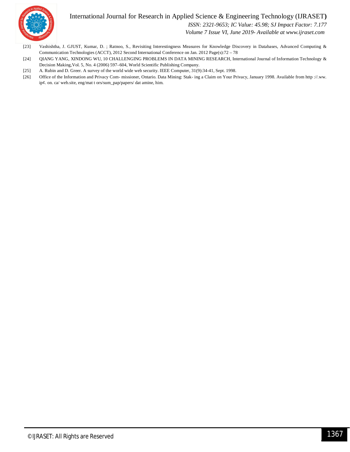#### International Journal for Research in Applied Science & Engineering Technology (IJRASET**)**



 *ISSN: 2321-9653; IC Value: 45.98; SJ Impact Factor: 7.177*

 *Volume 7 Issue VI, June 2019- Available at www.ijraset.com*

- [23] Vashishtha, J. GJUST, Kumar, D. ; Ratnoo, S., Revisiting Interestingness Measures for Knowledge Discovery in Databases, Advanced Computing & Communication Technologies (ACCT), 2012 Second International Conference on Jan. 2012 Page(s):72 – 78
- [24] QIANG YANG, XINDONG WU, 10 CHALLENGING PROBLEMS IN DATA MINING RESEARCH, International Journal of Information Technology & Decision Making,Vol. 5, No. 4 (2006) 597–604, World Scientific Publishing Company.
- [25] A. Rubin and D. Greer. A survey of the world wide web security. IEEE Computer, 31(9):34-41, Sept. 1998.
- [26] Office of the Information and Privacy Com- missioner, Ontario. Data Mining: Stak- ing a Claim on Your Privacy, January 1998. Available from http ://.ww. ip¢. on. ca/ web.site, eng/mat t ors/sum\_pap/papers/ dat amine, him.